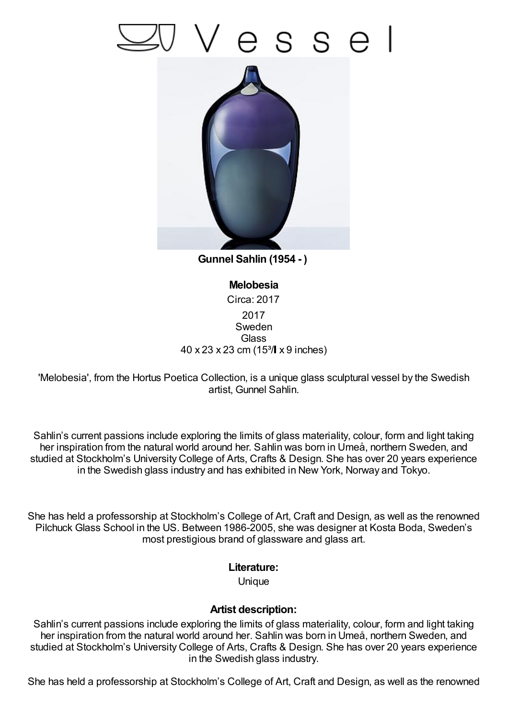## esse



**Gunnel Sahlin (1954 - )**

**Melobesia** Circa: 2017 2017 Sweden **Glass** 40 x 23 x 23 cm (15³/ x 9 inches)

'Melobesia', from the Hortus Poetica Collection, is a unique glass sculptural vessel by the Swedish artist, Gunnel Sahlin.

Sahlin's current passions include exploring the limits of glass materiality, colour, form and light taking her inspiration from the natural world around her. Sahlin was born in Umeå, northern Sweden, and studied at Stockholm's University College of Arts, Crafts & Design. She has over 20 years experience in the Swedish glass industry and has exhibited in New York, Norway and Tokyo.

She has held a professorship at Stockholm's College of Art, Craft and Design, as well as the renowned Pilchuck Glass School in the US. Between 1986-2005, she was designer at Kosta Boda, Sweden's most prestigious brand of glassware and glass art.

## **Literature:**

**Unique** 

## **Artist description:**

Sahlin's current passions include exploring the limits of glass materiality, colour, form and light taking her inspiration from the natural world around her. Sahlin was born in Umeå, northern Sweden, and studied at Stockholm's University College of Arts, Crafts & Design. She has over 20 years experience in the Swedish glass industry.

She has held a professorship at Stockholm's College of Art, Craft and Design, as well as the renowned